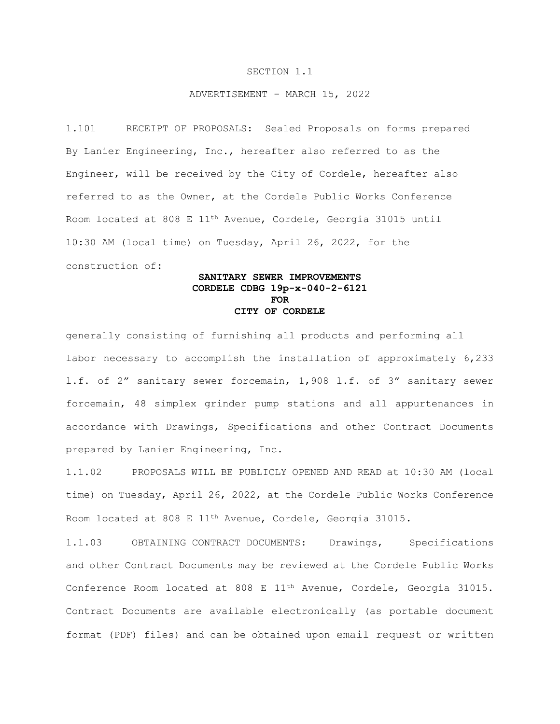## SECTION 1.1

## ADVERTISEMENT – MARCH 15, 2022

1.101 RECEIPT OF PROPOSALS: Sealed Proposals on forms prepared By Lanier Engineering, Inc., hereafter also referred to as the Engineer, will be received by the City of Cordele, hereafter also referred to as the Owner, at the Cordele Public Works Conference Room located at 808 E 11th Avenue, Cordele, Georgia 31015 until 10:30 AM (local time) on Tuesday, April 26, 2022, for the construction of:

## **SANITARY SEWER IMPROVEMENTS CORDELE CDBG 19p-x-040-2-6121 FOR CITY OF CORDELE**

generally consisting of furnishing all products and performing all labor necessary to accomplish the installation of approximately 6,233 l.f. of 2" sanitary sewer forcemain, 1,908 l.f. of 3" sanitary sewer forcemain, 48 simplex grinder pump stations and all appurtenances in accordance with Drawings, Specifications and other Contract Documents prepared by Lanier Engineering, Inc.

1.1.02 PROPOSALS WILL BE PUBLICLY OPENED AND READ at 10:30 AM (local time) on Tuesday, April 26, 2022, at the Cordele Public Works Conference Room located at 808 E 11th Avenue, Cordele, Georgia 31015.

1.1.03 OBTAINING CONTRACT DOCUMENTS: Drawings, Specifications and other Contract Documents may be reviewed at the Cordele Public Works Conference Room located at 808 E 11<sup>th</sup> Avenue, Cordele, Georgia 31015. Contract Documents are available electronically (as portable document format (PDF) files) and can be obtained upon email request or written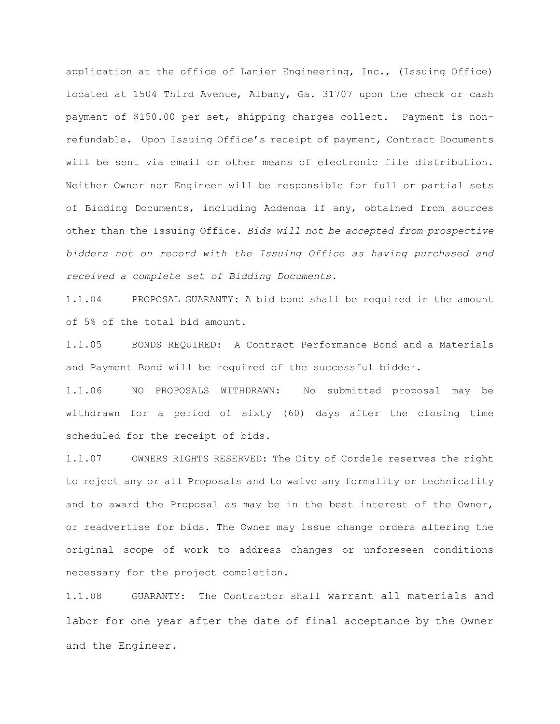application at the office of Lanier Engineering, Inc., (Issuing Office) located at 1504 Third Avenue, Albany, Ga. 31707 upon the check or cash payment of \$150.00 per set, shipping charges collect. Payment is nonrefundable. Upon Issuing Office's receipt of payment, Contract Documents will be sent via email or other means of electronic file distribution. Neither Owner nor Engineer will be responsible for full or partial sets of Bidding Documents, including Addenda if any, obtained from sources other than the Issuing Office. *Bids will not be accepted from prospective bidders not on record with the Issuing Office as having purchased and received a complete set of Bidding Documents.*

1.1.04 PROPOSAL GUARANTY: A bid bond shall be required in the amount of 5% of the total bid amount.

1.1.05 BONDS REQUIRED: A Contract Performance Bond and a Materials and Payment Bond will be required of the successful bidder.

1.1.06 NO PROPOSALS WITHDRAWN: No submitted proposal may be withdrawn for a period of sixty (60) days after the closing time scheduled for the receipt of bids.

1.1.07 OWNERS RIGHTS RESERVED: The City of Cordele reserves the right to reject any or all Proposals and to waive any formality or technicality and to award the Proposal as may be in the best interest of the Owner, or readvertise for bids. The Owner may issue change orders altering the original scope of work to address changes or unforeseen conditions necessary for the project completion.

1.1.08 GUARANTY: The Contractor shall warrant all materials and labor for one year after the date of final acceptance by the Owner and the Engineer.